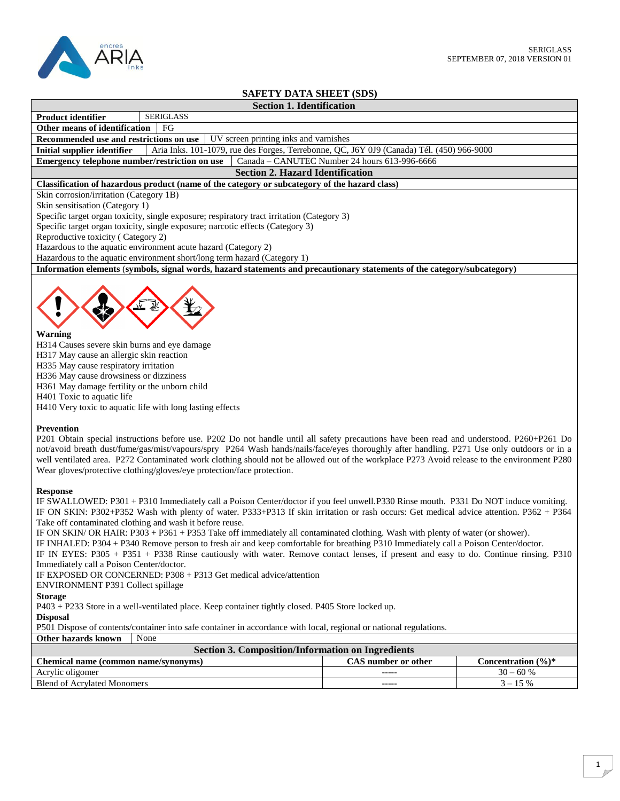

## **SAFETY DATA SHEET (SDS)**

| <b>Section 1. Identification</b> |  |
|----------------------------------|--|
|                                  |  |

| <b>Product identifier</b>        |  | SERIGLASS |  |
|----------------------------------|--|-----------|--|
| Other means of identification FG |  |           |  |

**Recommended use and restrictions on use** UV screen printing inks and varnishes

**Initial supplier identifier** Aria Inks. 101-1079, rue des Forges, Terrebonne, QC, J6Y 0J9 (Canada) Tél. (450) 966-9000<br>**Emergency telephone number/restriction on use** Canada – CANUTEC Number 24 hours 613-996-6666

**Emergency telephone number/restriction on use** 

# **Section 2. Hazard Identification**

## **Classification of hazardous product (name of the category or subcategory of the hazard class)**

Skin corrosion/irritation (Category 1B)

Skin sensitisation (Category 1)

Specific target organ toxicity, single exposure; respiratory tract irritation (Category 3)

Specific target organ toxicity, single exposure; narcotic effects (Category 3)

Reproductive toxicity ( Category 2)

Hazardous to the aquatic environment acute hazard (Category 2)

Hazardous to the aquatic environment short/long term hazard (Category 1)

**Information elements** (**symbols, signal words, hazard statements and precautionary statements of the category/subcategory)**



## **Warning**

H314 Causes severe skin burns and eye damage H317 May cause an allergic skin reaction H335 May cause respiratory irritation H336 May cause drowsiness or dizziness H361 May damage fertility or the unborn child H401 Toxic to aquatic life H410 Very toxic to aquatic life with long lasting effects

## **Prevention**

P201 Obtain special instructions before use. P202 Do not handle until all safety precautions have been read and understood. P260+P261 Do not/avoid breath dust/fume/gas/mist/vapours/spry P264 Wash hands/nails/face/eyes thoroughly after handling. P271 Use only outdoors or in a well ventilated area. P272 Contaminated work clothing should not be allowed out of the workplace P273 Avoid release to the environment P280 Wear gloves/protective clothing/gloves/eye protection/face protection.

## **Response**

IF SWALLOWED: P301 + P310 Immediately call a Poison Center/doctor if you feel unwell.P330 Rinse mouth. P331 Do NOT induce vomiting. IF ON SKIN: P302+P352 Wash with plenty of water. P333+P313 If skin irritation or rash occurs: Get medical advice attention. P362 + P364 Take off contaminated clothing and wash it before reuse.

IF ON SKIN/ OR HAIR: P303 + P361 + P353 Take off immediately all contaminated clothing. Wash with plenty of water (or shower).

IF INHALED: P304 + P340 Remove person to fresh air and keep comfortable for breathing P310 Immediately call a Poison Center/doctor.

IF IN EYES: P305 + P351 + P338 Rinse cautiously with water. Remove contact lenses, if present and easy to do. Continue rinsing. P310 Immediately call a Poison Center/doctor.

IF EXPOSED OR CONCERNED: P308 + P313 Get medical advice/attention

ENVIRONMENT P391 Collect spillage

**Storage**

P403 + P233 Store in a well-ventilated place. Keep container tightly closed. P405 Store locked up.

## **Disposal**

P501 Dispose of contents/container into safe container in accordance with local, regional or national regulations.

**Other hazards known** None

| Section 3. Composition/Information on Ingredients |                     |                                 |  |
|---------------------------------------------------|---------------------|---------------------------------|--|
| Chemical name (common name/synonyms)              | CAS number or other | Concentration $(\frac{6}{6})^*$ |  |
| Acrylic oligomer                                  | -----               | $30 - 60%$                      |  |
| <b>Blend of Acrylated Monomers</b>                | -----               | $3 - 15\%$                      |  |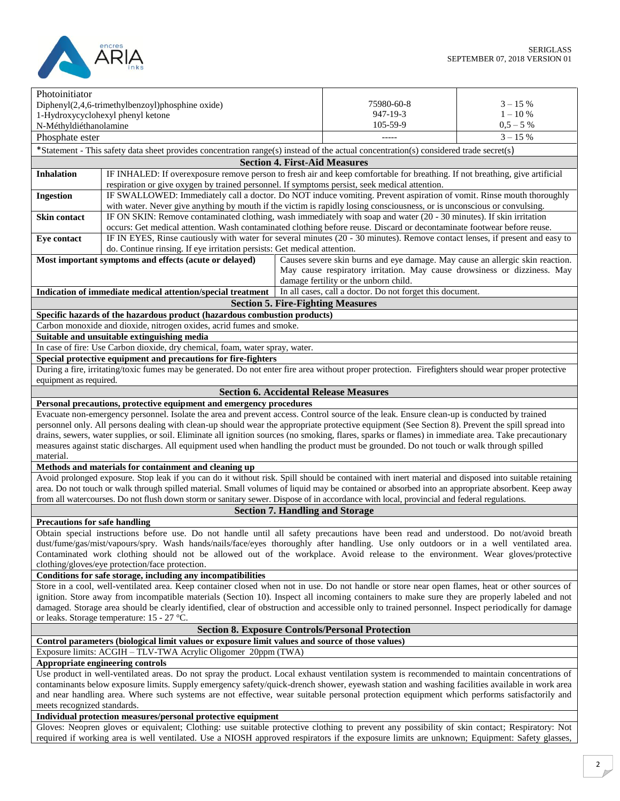

|                                                                                                                                                                                                                 | Photoinitiator                                                                                                                                        |                                                                               |             |
|-----------------------------------------------------------------------------------------------------------------------------------------------------------------------------------------------------------------|-------------------------------------------------------------------------------------------------------------------------------------------------------|-------------------------------------------------------------------------------|-------------|
|                                                                                                                                                                                                                 | Diphenyl(2,4,6-trimethylbenzoyl)phosphine oxide)                                                                                                      | 75980-60-8                                                                    | $3 - 15%$   |
|                                                                                                                                                                                                                 | 1-Hydroxycyclohexyl phenyl ketone                                                                                                                     | 947-19-3                                                                      | $1 - 10\%$  |
| N-Méthyldiéthanolamine                                                                                                                                                                                          |                                                                                                                                                       | 105-59-9                                                                      | $0,5 - 5$ % |
| Phosphate ester                                                                                                                                                                                                 |                                                                                                                                                       |                                                                               | $3 - 15 %$  |
|                                                                                                                                                                                                                 | *Statement - This safety data sheet provides concentration range(s) instead of the actual concentration(s) considered trade secret(s)                 |                                                                               |             |
|                                                                                                                                                                                                                 | <b>Section 4. First-Aid Measures</b>                                                                                                                  |                                                                               |             |
| <b>Inhalation</b>                                                                                                                                                                                               | IF INHALED: If overexposure remove person to fresh air and keep comfortable for breathing. If not breathing, give artificial                          |                                                                               |             |
|                                                                                                                                                                                                                 | respiration or give oxygen by trained personnel. If symptoms persist, seek medical attention.                                                         |                                                                               |             |
| <b>Ingestion</b>                                                                                                                                                                                                | IF SWALLOWED: Immediately call a doctor. Do NOT induce vomiting. Prevent aspiration of vomit. Rinse mouth thoroughly                                  |                                                                               |             |
|                                                                                                                                                                                                                 | with water. Never give anything by mouth if the victim is rapidly losing consciousness, or is unconscious or convulsing.                              |                                                                               |             |
| Skin contact                                                                                                                                                                                                    | IF ON SKIN: Remove contaminated clothing, wash immediately with soap and water (20 - 30 minutes). If skin irritation                                  |                                                                               |             |
|                                                                                                                                                                                                                 | occurs: Get medical attention. Wash contaminated clothing before reuse. Discard or decontaminate footwear before reuse.                               |                                                                               |             |
| Eye contact                                                                                                                                                                                                     | IF IN EYES, Rinse cautiously with water for several minutes (20 - 30 minutes). Remove contact lenses, if present and easy to                          |                                                                               |             |
|                                                                                                                                                                                                                 | do. Continue rinsing. If eye irritation persists: Get medical attention.                                                                              |                                                                               |             |
|                                                                                                                                                                                                                 | Most important symptoms and effects (acute or delayed)                                                                                                | Causes severe skin burns and eye damage. May cause an allergic skin reaction. |             |
|                                                                                                                                                                                                                 |                                                                                                                                                       | May cause respiratory irritation. May cause drowsiness or dizziness. May      |             |
|                                                                                                                                                                                                                 |                                                                                                                                                       | damage fertility or the unborn child.                                         |             |
|                                                                                                                                                                                                                 | Indication of immediate medical attention/special treatment                                                                                           | In all cases, call a doctor. Do not forget this document.                     |             |
|                                                                                                                                                                                                                 | <b>Section 5. Fire-Fighting Measures</b>                                                                                                              |                                                                               |             |
|                                                                                                                                                                                                                 |                                                                                                                                                       |                                                                               |             |
|                                                                                                                                                                                                                 | Specific hazards of the hazardous product (hazardous combustion products)                                                                             |                                                                               |             |
|                                                                                                                                                                                                                 | Carbon monoxide and dioxide, nitrogen oxides, acrid fumes and smoke.                                                                                  |                                                                               |             |
|                                                                                                                                                                                                                 | Suitable and unsuitable extinguishing media                                                                                                           |                                                                               |             |
|                                                                                                                                                                                                                 | In case of fire: Use Carbon dioxide, dry chemical, foam, water spray, water.                                                                          |                                                                               |             |
|                                                                                                                                                                                                                 | Special protective equipment and precautions for fire-fighters                                                                                        |                                                                               |             |
|                                                                                                                                                                                                                 | During a fire, irritating/toxic fumes may be generated. Do not enter fire area without proper protection. Firefighters should wear proper protective  |                                                                               |             |
| equipment as required.                                                                                                                                                                                          |                                                                                                                                                       |                                                                               |             |
|                                                                                                                                                                                                                 | <b>Section 6. Accidental Release Measures</b>                                                                                                         |                                                                               |             |
|                                                                                                                                                                                                                 | Personal precautions, protective equipment and emergency procedures                                                                                   |                                                                               |             |
|                                                                                                                                                                                                                 | Evacuate non-emergency personnel. Isolate the area and prevent access. Control source of the leak. Ensure clean-up is conducted by trained            |                                                                               |             |
|                                                                                                                                                                                                                 | personnel only. All persons dealing with clean-up should wear the appropriate protective equipment (See Section 8). Prevent the spill spread into     |                                                                               |             |
|                                                                                                                                                                                                                 | drains, sewers, water supplies, or soil. Eliminate all ignition sources (no smoking, flares, sparks or flames) in immediate area. Take precautionary  |                                                                               |             |
|                                                                                                                                                                                                                 | measures against static discharges. All equipment used when handling the product must be grounded. Do not touch or walk through spilled               |                                                                               |             |
| material.                                                                                                                                                                                                       |                                                                                                                                                       |                                                                               |             |
|                                                                                                                                                                                                                 | Methods and materials for containment and cleaning up                                                                                                 |                                                                               |             |
|                                                                                                                                                                                                                 | Avoid prolonged exposure. Stop leak if you can do it without risk. Spill should be contained with inert material and disposed into suitable retaining |                                                                               |             |
|                                                                                                                                                                                                                 | area. Do not touch or walk through spilled material. Small volumes of liquid may be contained or absorbed into an appropriate absorbent. Keep away    |                                                                               |             |
|                                                                                                                                                                                                                 | from all watercourses. Do not flush down storm or sanitary sewer. Dispose of in accordance with local, provincial and federal regulations.            |                                                                               |             |
|                                                                                                                                                                                                                 | <b>Section 7. Handling and Storage</b>                                                                                                                |                                                                               |             |
| <b>Precautions for safe handling</b>                                                                                                                                                                            |                                                                                                                                                       |                                                                               |             |
|                                                                                                                                                                                                                 | Obtain special instructions before use. Do not handle until all safety precautions have been read and understood. Do not/avoid breath                 |                                                                               |             |
|                                                                                                                                                                                                                 | dust/fume/gas/mist/vapours/spry. Wash hands/nails/face/eyes thoroughly after handling. Use only outdoors or in a well ventilated area.                |                                                                               |             |
|                                                                                                                                                                                                                 | Contaminated work clothing should not be allowed out of the workplace. Avoid release to the environment. Wear gloves/protective                       |                                                                               |             |
|                                                                                                                                                                                                                 | clothing/gloves/eye protection/face protection.                                                                                                       |                                                                               |             |
| Conditions for safe storage, including any incompatibilities<br>Store in a cool, well-ventilated area. Keep container closed when not in use. Do not handle or store near open flames, heat or other sources of |                                                                                                                                                       |                                                                               |             |
|                                                                                                                                                                                                                 |                                                                                                                                                       |                                                                               |             |
|                                                                                                                                                                                                                 | ignition. Store away from incompatible materials (Section 10). Inspect all incoming containers to make sure they are properly labeled and not         |                                                                               |             |
| damaged. Storage area should be clearly identified, clear of obstruction and accessible only to trained personnel. Inspect periodically for damage                                                              |                                                                                                                                                       |                                                                               |             |
| or leaks. Storage temperature: 15 - 27 °C.                                                                                                                                                                      |                                                                                                                                                       |                                                                               |             |
| <b>Section 8. Exposure Controls/Personal Protection</b>                                                                                                                                                         |                                                                                                                                                       |                                                                               |             |
|                                                                                                                                                                                                                 | Control parameters (biological limit values or exposure limit values and source of those values)                                                      |                                                                               |             |
|                                                                                                                                                                                                                 | Exposure limits: ACGIH - TLV-TWA Acrylic Oligomer 20ppm (TWA)                                                                                         |                                                                               |             |
|                                                                                                                                                                                                                 | Appropriate engineering controls                                                                                                                      |                                                                               |             |
|                                                                                                                                                                                                                 | Use product in well-ventilated areas. Do not spray the product. Local exhaust ventilation system is recommended to maintain concentrations of         |                                                                               |             |
| contaminants below exposure limits. Supply emergency safety/quick-drench shower, eyewash station and washing facilities available in work area                                                                  |                                                                                                                                                       |                                                                               |             |
| and near handling area. Where such systems are not effective, wear suitable personal protection equipment which performs satisfactorily and                                                                     |                                                                                                                                                       |                                                                               |             |
|                                                                                                                                                                                                                 | meets recognized standards.                                                                                                                           |                                                                               |             |
|                                                                                                                                                                                                                 | Individual protection measures/personal protective equipment                                                                                          |                                                                               |             |
|                                                                                                                                                                                                                 | Gloves: Neopren gloves or equivalent; Clothing: use suitable protective clothing to prevent any possibility of skin contact; Respiratory: Not         |                                                                               |             |
| required if working area is well ventilated. Use a NIOSH approved respirators if the exposure limits are unknown; Equipment: Safety glasses,                                                                    |                                                                                                                                                       |                                                                               |             |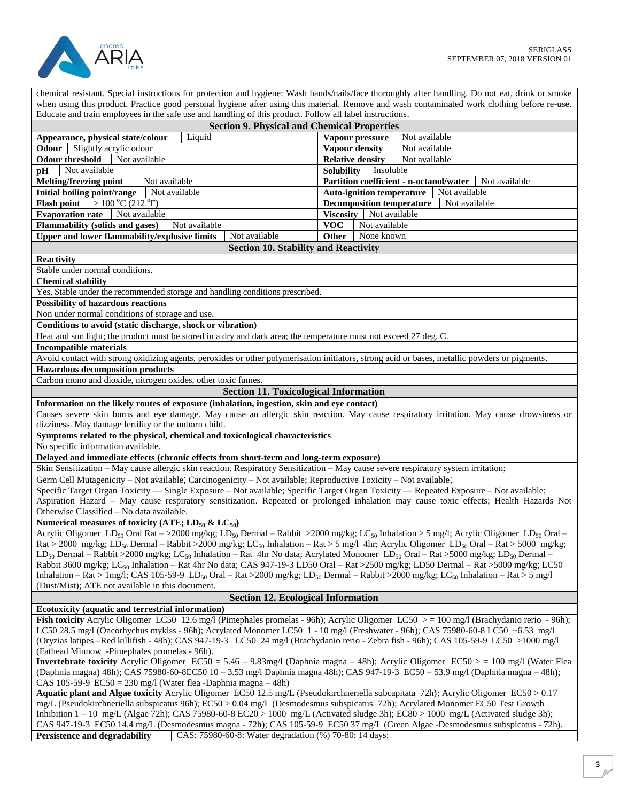



| chemical resistant. Special instructions for protection and hygiene: Wash hands/nails/face thoroughly after handling. Do not eat, drink or smoke<br>when using this product. Practice good personal hygiene after using this material. Remove and wash contaminated work clothing before re-use.                            |                                  |                                                          |
|-----------------------------------------------------------------------------------------------------------------------------------------------------------------------------------------------------------------------------------------------------------------------------------------------------------------------------|----------------------------------|----------------------------------------------------------|
| Educate and train employees in the safe use and handling of this product. Follow all label instructions.                                                                                                                                                                                                                    |                                  |                                                          |
| <b>Section 9. Physical and Chemical Properties</b>                                                                                                                                                                                                                                                                          |                                  |                                                          |
| Liquid<br>Appearance, physical state/colour                                                                                                                                                                                                                                                                                 | Vapour pressure                  | Not available                                            |
| Slightly acrylic odour<br>Odour                                                                                                                                                                                                                                                                                             | <b>Vapour density</b>            | Not available                                            |
| Not available<br><b>Odour threshold</b>                                                                                                                                                                                                                                                                                     | <b>Relative density</b>          | Not available                                            |
| Not available<br>pH                                                                                                                                                                                                                                                                                                         | <b>Solubility</b>                | Insoluble                                                |
| Melting/freezing point<br>Not available                                                                                                                                                                                                                                                                                     |                                  | Partition coefficient - n-octanol/water<br>Not available |
| <b>Initial boiling point/range</b><br>Not available                                                                                                                                                                                                                                                                         | <b>Auto-ignition temperature</b> | Not available                                            |
| <b>Flash point</b> $  > 100 °C (212 °F)$                                                                                                                                                                                                                                                                                    | <b>Decomposition temperature</b> | Not available                                            |
| <b>Evaporation rate</b><br>Not available                                                                                                                                                                                                                                                                                    | Viscosity Not available          |                                                          |
| Flammability (solids and gases)<br>Not available<br><b>Upper and lower flammability/explosive limits</b><br>Not available                                                                                                                                                                                                   | <b>VOC</b><br>Other              | Not available<br>None known                              |
| <b>Section 10. Stability and Reactivity</b>                                                                                                                                                                                                                                                                                 |                                  |                                                          |
| <b>Reactivity</b>                                                                                                                                                                                                                                                                                                           |                                  |                                                          |
| Stable under normal conditions.                                                                                                                                                                                                                                                                                             |                                  |                                                          |
| <b>Chemical stability</b>                                                                                                                                                                                                                                                                                                   |                                  |                                                          |
| Yes, Stable under the recommended storage and handling conditions prescribed.                                                                                                                                                                                                                                               |                                  |                                                          |
| <b>Possibility of hazardous reactions</b>                                                                                                                                                                                                                                                                                   |                                  |                                                          |
| Non under normal conditions of storage and use.                                                                                                                                                                                                                                                                             |                                  |                                                          |
| Conditions to avoid (static discharge, shock or vibration)                                                                                                                                                                                                                                                                  |                                  |                                                          |
| Heat and sun light; the product must be stored in a dry and dark area; the temperature must not exceed 27 deg. C.                                                                                                                                                                                                           |                                  |                                                          |
| <b>Incompatible materials</b>                                                                                                                                                                                                                                                                                               |                                  |                                                          |
| Avoid contact with strong oxidizing agents, peroxides or other polymerisation initiators, strong acid or bases, metallic powders or pigments.                                                                                                                                                                               |                                  |                                                          |
| <b>Hazardous decomposition products</b>                                                                                                                                                                                                                                                                                     |                                  |                                                          |
| Carbon mono and dioxide, nitrogen oxides, other toxic fumes.                                                                                                                                                                                                                                                                |                                  |                                                          |
| <b>Section 11. Toxicological Information</b>                                                                                                                                                                                                                                                                                |                                  |                                                          |
| Information on the likely routes of exposure (inhalation, ingestion, skin and eye contact)                                                                                                                                                                                                                                  |                                  |                                                          |
| Causes severe skin burns and eye damage. May cause an allergic skin reaction. May cause respiratory irritation. May cause drowsiness or                                                                                                                                                                                     |                                  |                                                          |
| dizziness. May damage fertility or the unborn child.                                                                                                                                                                                                                                                                        |                                  |                                                          |
| Symptoms related to the physical, chemical and toxicological characteristics<br>No specific information available.                                                                                                                                                                                                          |                                  |                                                          |
| Delayed and immediate effects (chronic effects from short-term and long-term exposure)                                                                                                                                                                                                                                      |                                  |                                                          |
| Skin Sensitization - May cause allergic skin reaction. Respiratory Sensitization - May cause severe respiratory system irritation;                                                                                                                                                                                          |                                  |                                                          |
| Germ Cell Mutagenicity - Not available; Carcinogenicity - Not available; Reproductive Toxicity - Not available;                                                                                                                                                                                                             |                                  |                                                          |
| Specific Target Organ Toxicity — Single Exposure - Not available; Specific Target Organ Toxicity — Repeated Exposure - Not available;                                                                                                                                                                                       |                                  |                                                          |
| Aspiration Hazard - May cause respiratory sensitization. Repeated or prolonged inhalation may cause toxic effects; Health Hazards Not                                                                                                                                                                                       |                                  |                                                          |
| Otherwise Classified - No data available.                                                                                                                                                                                                                                                                                   |                                  |                                                          |
| Numerical measures of toxicity (ATE; $LD_{50}$ & $LC_{50}$ )                                                                                                                                                                                                                                                                |                                  |                                                          |
| Acrylic Oligomer LD <sub>50</sub> Oral Rat ->2000 mg/kg; LD <sub>50</sub> Dermal - Rabbit >2000 mg/kg; LC <sub>50</sub> Inhalation > 5 mg/l; Acrylic Oligomer LD <sub>50</sub> Oral -                                                                                                                                       |                                  |                                                          |
| Rat > 2000 mg/kg; LD <sub>50</sub> Dermal – Rabbit > 2000 mg/kg; LC <sub>50</sub> Inhalation – Rat > 5 mg/l 4hr; Acrylic Oligomer LD <sub>50</sub> Oral – Rat > 5000 mg/kg;                                                                                                                                                 |                                  |                                                          |
| LD <sub>50</sub> Dermal – Rabbit >2000 mg/kg; LC <sub>50</sub> Inhalation – Rat 4hr No data; Acrylated Monomer LD <sub>50</sub> Oral – Rat >5000 mg/kg; LD <sub>50</sub> Dermal –                                                                                                                                           |                                  |                                                          |
| Rabbit 3600 mg/kg; LC <sub>50</sub> Inhalation – Rat 4hr No data; CAS 947-19-3 LD50 Oral – Rat >2500 mg/kg; LD50 Dermal – Rat >5000 mg/kg; LC50<br>Inhalation – Rat > 1mg/l; CAS 105-59-9 LD <sub>50</sub> Oral – Rat >2000 mg/kg; LD <sub>50</sub> Dermal – Rabbit >2000 mg/kg; LC <sub>50</sub> Inhalation – Rat > 5 mg/l |                                  |                                                          |
| (Dust/Mist); ATE not available in this document.                                                                                                                                                                                                                                                                            |                                  |                                                          |
| <b>Section 12. Ecological Information</b>                                                                                                                                                                                                                                                                                   |                                  |                                                          |
| Ecotoxicity (aquatic and terrestrial information)                                                                                                                                                                                                                                                                           |                                  |                                                          |
| Fish toxicity Acrylic Oligomer LC50 12.6 mg/l (Pimephales promelas - 96h); Acrylic Oligomer LC50 $>$ = 100 mg/l (Brachydanio rerio - 96h);                                                                                                                                                                                  |                                  |                                                          |
| LC50 28.5 mg/l (Oncorhychus mykiss - 96h); Acrylated Monomer LC50 1 - 10 mg/l (Freshwater - 96h); CAS 75980-60-8 LC50 ~6.53 mg/l                                                                                                                                                                                            |                                  |                                                          |
| (Oryzias latipes -Red killifish - 48h); CAS 947-19-3 LC50 24 mg/l (Brachydanio rerio - Zebra fish - 96h); CAS 105-59-9 LC50 >1000 mg/l                                                                                                                                                                                      |                                  |                                                          |
| (Fathead Minnow -Pimephales promelas - 96h).                                                                                                                                                                                                                                                                                |                                  |                                                          |
| <b>Invertebrate toxicity</b> Acrylic Oligomer $EC50 = 5.46 - 9.83$ mg/l (Daphnia magna - 48h); Acrylic Oligomer $EC50 > 100$ mg/l (Water Flea                                                                                                                                                                               |                                  |                                                          |
| (Daphnia magna) 48h); CAS 75980-60-8EC50 10 - 3.53 mg/l Daphnia magna 48h); CAS 947-19-3 EC50 = 53.9 mg/l (Daphnia magna - 48h);                                                                                                                                                                                            |                                  |                                                          |
| CAS 105-59-9 $EC50 = 230$ mg/l (Water flea -Daphnia magna - 48h)                                                                                                                                                                                                                                                            |                                  |                                                          |
| Aquatic plant and Algae toxicity Acrylic Oligomer EC50 12.5 mg/L (Pseudokirchneriella subcapitata 72h); Acrylic Oligomer EC50 > 0.17<br>mg/L (Pseudokirchneriella subspicatus 96h); EC50 > 0.04 mg/L (Desmodesmus subspicatus 72h); Acrylated Monomer EC50 Test Growth                                                      |                                  |                                                          |
| Inhibition $1 - 10$ mg/L (Algae 72h); CAS 75980-60-8 EC20 > 1000 mg/L (Activated sludge 3h); EC80 > 1000 mg/L (Activated sludge 3h);                                                                                                                                                                                        |                                  |                                                          |
| CAS 947-19-3 EC50 14.4 mg/L (Desmodesmus magna - 72h); CAS 105-59-9 EC50 37 mg/L (Green Algae -Desmodesmus subspicatus - 72h).                                                                                                                                                                                              |                                  |                                                          |
| CAS: 75980-60-8: Water degradation (%) 70-80: 14 days;<br>Persistence and degradability                                                                                                                                                                                                                                     |                                  |                                                          |